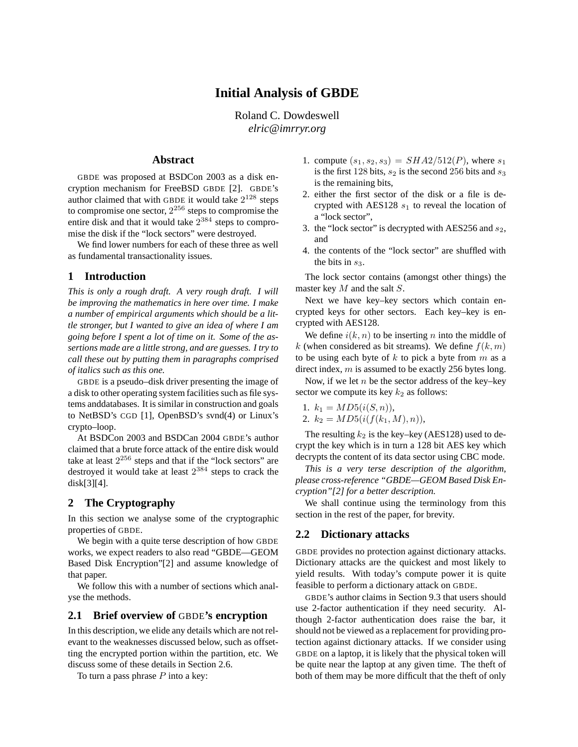# **Initial Analysis of GBDE**

Roland C. Dowdeswell *elric@imrryr.org*

## **Abstract**

GBDE was proposed at BSDCon 2003 as a disk encryption mechanism for FreeBSD GBDE [2]. GBDE's author claimed that with GBDE it would take  $2^{128}$  steps to compromise one sector,  $2^{256}$  steps to compromise the entire disk and that it would take  $2^{384}$  steps to compromise the disk if the "lock sectors" were destroyed.

We find lower numbers for each of these three as well as fundamental transactionality issues.

## **1 Introduction**

*This is only a rough draft. A very rough draft. I will be improving the mathematics in here over time. I make a number of empirical arguments which should be a little stronger, but I wanted to give an idea of where I am going before I spent a lot of time on it. Some of the assertions made are a little strong, and are guesses. I try to call these out by putting them in paragraphs comprised of italics such as this one.*

GBDE is a pseudo–disk driver presenting the image of a disk to other operating system facilities such as file systems anddatabases. It is similar in construction and goals to NetBSD's CGD [1], OpenBSD's svnd(4) or Linux's crypto–loop.

At BSDCon 2003 and BSDCan 2004 GBDE's author claimed that a brute force attack of the entire disk would take at least  $2^{256}$  steps and that if the "lock sectors" are destroyed it would take at least  $2^{384}$  steps to crack the disk[3][4].

## **2 The Cryptography**

In this section we analyse some of the cryptographic properties of GBDE.

We begin with a quite terse description of how GBDE works, we expect readers to also read "GBDE—GEOM Based Disk Encryption"[2] and assume knowledge of that paper.

We follow this with a number of sections which analyse the methods.

## **2.1 Brief overview of** GBDE**'s encryption**

In this description, we elide any details which are not relevant to the weaknesses discussed below, such as offsetting the encrypted portion within the partition, etc. We discuss some of these details in Section 2.6.

To turn a pass phrase  $P$  into a key:

- 1. compute  $(s_1, s_2, s_3) = SHA2/512(P)$ , where  $s_1$ is the first 128 bits,  $s_2$  is the second 256 bits and  $s_3$ is the remaining bits,
- 2. either the first sector of the disk or a file is decrypted with AES128  $s_1$  to reveal the location of a "lock sector",
- 3. the "lock sector" is decrypted with AES256 and  $s_2$ , and
- 4. the contents of the "lock sector" are shuffled with the bits in  $s_3$ .

The lock sector contains (amongst other things) the master key M and the salt S.

Next we have key–key sectors which contain encrypted keys for other sectors. Each key–key is encrypted with AES128.

We define  $i(k, n)$  to be inserting n into the middle of k (when considered as bit streams). We define  $f(k, m)$ to be using each byte of  $k$  to pick a byte from  $m$  as a direct index, m is assumed to be exactly 256 bytes long.

Now, if we let  $n$  be the sector address of the key–key sector we compute its key  $k_2$  as follows:

1. 
$$
k_1 = MD5(i(S, n)),
$$

2.  $k_2 = MD5(i(f(k_1, M), n)),$ 

The resulting  $k_2$  is the key–key (AES128) used to decrypt the key which is in turn a 128 bit AES key which decrypts the content of its data sector using CBC mode.

*This is a very terse description of the algorithm, please cross-reference "GBDE—GEOM Based Disk Encryption"[2] for a better description.*

We shall continue using the terminology from this section in the rest of the paper, for brevity.

### **2.2 Dictionary attacks**

GBDE provides no protection against dictionary attacks. Dictionary attacks are the quickest and most likely to yield results. With today's compute power it is quite feasible to perform a dictionary attack on GBDE.

GBDE's author claims in Section 9.3 that users should use 2-factor authentication if they need security. Although 2-factor authentication does raise the bar, it should not be viewed as a replacement for providing protection against dictionary attacks. If we consider using GBDE on a laptop, it is likely that the physical token will be quite near the laptop at any given time. The theft of both of them may be more difficult that the theft of only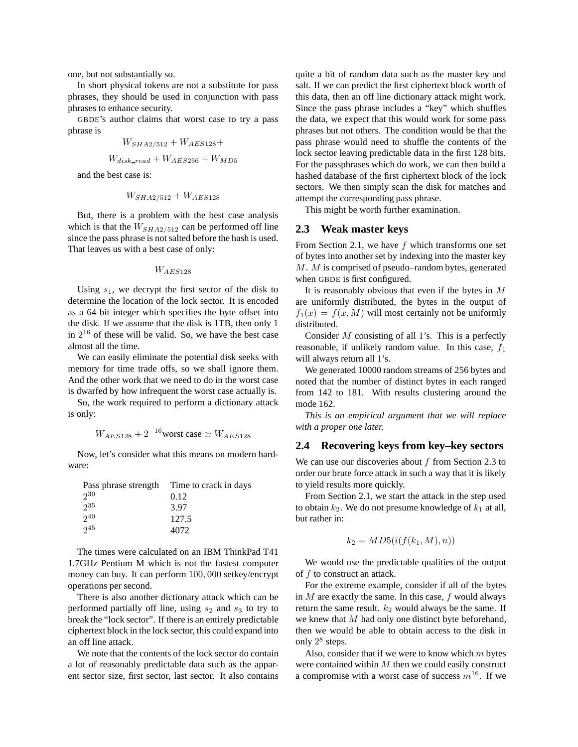one, but not substantially so.

In short physical tokens are not a substitute for pass phrases, they should be used in conjunction with pass phrases to enhance security.

GBDE's author claims that worst case to try a pass phrase is

$$
W_{SHA2/512} + W_{AES128} +
$$
  

$$
W_{disk\_read} + W_{AES256} + W_{MD5}
$$

and the best case is:

$$
W_{SHA2/512} + W_{AES128}
$$

But, there is a problem with the best case analysis which is that the  $W_{SHA2/512}$  can be performed off line since the pass phrase is notsalted before the hash is used. That leaves us with a best case of only:

#### $W_{AES128}$

Using  $s_1$ , we decrypt the first sector of the disk to determine the location of the lock sector. It is encoded as a 64 bit integer which specifies the byte offset into the disk. If we assume that the disk is 1TB, then only 1 in  $2^{16}$  of these will be valid. So, we have the best case almost all the time.

We can easily eliminate the potential disk seeks with memory for time trade offs, so we shall ignore them. And the other work that we need to do in the worst case is dwarfed by how infrequent the worst case actually is.

So, the work required to perform a dictionary attack is only:

$$
W_{AES128} + 2^{-16}
$$
worst case  $\simeq W_{AES128}$ 

Now, let's consider what this means on modern hardware:

| Pass phrase strength | Time to crack in days |
|----------------------|-----------------------|
| 230                  | 0.12                  |
| $2^{35}$             | 3.97                  |
| 240                  | 127.5                 |
| 245                  | 4072                  |

The times were calculated on an IBM ThinkPad T41 1.7GHz Pentium M which is not the fastest computer money can buy. It can perform 100, 000 setkey/encrypt operations per second.

There is also another dictionary attack which can be performed partially off line, using  $s_2$  and  $s_3$  to try to break the "lock sector". If there is an entirely predictable ciphertext block in the lock sector, this could expand into an off line attack.

We note that the contents of the lock sector do contain a lot of reasonably predictable data such as the apparent sector size, first sector, last sector. It also contains quite a bit of random data such as the master key and salt. If we can predict the first ciphertext block worth of this data, then an off line dictionary attack might work. Since the pass phrase includes a "key" which shuffles the data, we expect that this would work for some pass phrases but not others. The condition would be that the pass phrase would need to shuffle the contents of the lock sector leaving predictable data in the first 128 bits. For the passphrases which do work, we can then build a hashed database of the first ciphertext block of the lock sectors. We then simply scan the disk for matches and attempt the corresponding pass phrase.

This might be worth further examination.

# **2.3 Weak master keys**

From Section 2.1, we have  $f$  which transforms one set of bytes into another set by indexing into the master key M. M is comprised of pseudo–random bytes, generated when GBDE is first configured.

It is reasonably obvious that even if the bytes in  $M$ are uniformly distributed, the bytes in the output of  $f_1(x) = f(x, M)$  will most certainly not be uniformly distributed.

Consider  $M$  consisting of all 1's. This is a perfectly reasonable, if unlikely random value. In this case,  $f_1$ will always return all 1's.

We generated 10000 random streams of 256 bytes and noted that the number of distinct bytes in each ranged from 142 to 181. With results clustering around the mode 162.

*This is an empirical argument that we will replace with a proper one later.*

## **2.4 Recovering keys from key–key sectors**

We can use our discoveries about  $f$  from Section 2.3 to order our brute force attack in such a way that it is likely to yield results more quickly.

From Section 2.1, we start the attack in the step used to obtain  $k_2$ . We do not presume knowledge of  $k_1$  at all, but rather in:

$$
k_2 = MD5(i(f(k_1, M), n))
$$

We would use the predictable qualities of the output of  $f$  to construct an attack.

For the extreme example, consider if all of the bytes in  $M$  are exactly the same. In this case,  $f$  would always return the same result.  $k_2$  would always be the same. If we knew that M had only one distinct byte beforehand, then we would be able to obtain access to the disk in only 2<sup>8</sup> steps.

Also, consider that if we were to know which  $m$  bytes were contained within  $M$  then we could easily construct a compromise with a worst case of success  $m^{16}$ . If we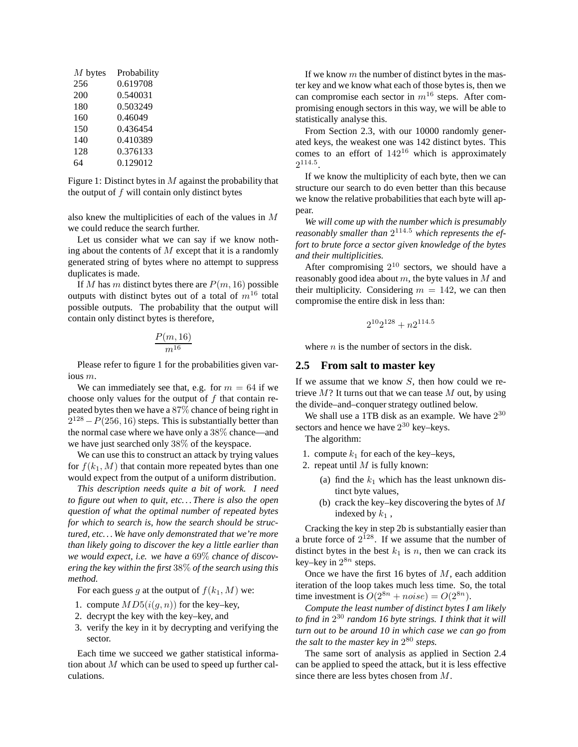| $M$ bytes | Probability |
|-----------|-------------|
| 256       | 0.619708    |
| 200       | 0.540031    |
| 180       | 0.503249    |
| 160       | 0.46049     |
| 150       | 0.436454    |
| 140       | 0.410389    |
| 128       | 0.376133    |
| 64        | 0.129012    |

Figure 1: Distinct bytes in  $M$  against the probability that the output of  $f$  will contain only distinct bytes

also knew the multiplicities of each of the values in M we could reduce the search further.

Let us consider what we can say if we know nothing about the contents of  $M$  except that it is a randomly generated string of bytes where no attempt to suppress duplicates is made.

If M has m distinct bytes there are  $P(m, 16)$  possible outputs with distinct bytes out of a total of  $m^{16}$  total possible outputs. The probability that the output will contain only distinct bytes is therefore,

$$
\frac{P(m,16)}{m^{16}}
$$

Please refer to figure 1 for the probabilities given various m.

We can immediately see that, e.g. for  $m = 64$  if we choose only values for the output of  $f$  that contain repeated bytes then we have a 87% chance of being right in  $2^{128} - P(256, 16)$  steps. This is substantially better than the normal case where we have only a 38% chance—and we have just searched only 38% of the keyspace.

We can use this to construct an attack by trying values for  $f(k_1, M)$  that contain more repeated bytes than one would expect from the output of a uniform distribution.

*This description needs quite a bit of work. I need to figure out when to quit, etc. . . There is also the open question of what the optimal number of repeated bytes for which to search is, how the search should be structured, etc. . . We have only demonstrated that we're more than likely going to discover the key a little earlier than we would expect, i.e. we have a* 69% *chance of discovering the key within the first* 38% *of the search using this method.*

For each guess g at the output of  $f(k_1, M)$  we:

- 1. compute  $MD5(i(g, n))$  for the key–key,
- 2. decrypt the key with the key–key, and
- 3. verify the key in it by decrypting and verifying the sector.

Each time we succeed we gather statistical information about  $M$  which can be used to speed up further calculations.

If we know  $m$  the number of distinct bytes in the master key and we know what each of those bytes is, then we can compromise each sector in  $m^{16}$  steps. After compromising enough sectors in this way, we will be able to statistically analyse this.

From Section 2.3, with our 10000 randomly generated keys, the weakest one was 142 distinct bytes. This comes to an effort of  $142^{16}$  which is approximately  $2^{114.5}$ .

If we know the multiplicity of each byte, then we can structure our search to do even better than this because we know the relative probabilities that each byte will appear.

*We will come up with the number which is presumably reasonably smaller than* 2 <sup>114</sup>.<sup>5</sup> *which represents the effort to brute force a sector given knowledge of the bytes and their multiplicities.*

After compromising  $2^{10}$  sectors, we should have a reasonably good idea about  $m$ , the byte values in  $M$  and their multiplicity. Considering  $m = 142$ , we can then compromise the entire disk in less than:

$$
2^{10}2^{128} + n2^{114.5} \\
$$

where  $n$  is the number of sectors in the disk.

#### **2.5 From salt to master key**

If we assume that we know  $S$ , then how could we retrieve  $M$ ? It turns out that we can tease  $M$  out, by using the divide–and–conquer strategy outlined below.

We shall use a 1TB disk as an example. We have  $2^{30}$ sectors and hence we have  $2^{30}$  key–keys.

The algorithm:

- 1. compute  $k_1$  for each of the key–keys,
- 2. repeat until  $M$  is fully known:
	- (a) find the  $k_1$  which has the least unknown distinct byte values,
	- (b) crack the key–key discovering the bytes of  $M$ indexed by  $k_1$ ,

Cracking the key in step 2b is substantially easier than a brute force of  $2^{128}$ . If we assume that the number of distinct bytes in the best  $k_1$  is n, then we can crack its key–key in  $2^{8n}$  steps.

Once we have the first 16 bytes of  $M$ , each addition iteration of the loop takes much less time. So, the total time investment is  $O(2^{8n} + noise) = O(2^{8n})$ .

*Compute the least number of distinct bytes I am likely to find in* 2 <sup>30</sup> *random 16 byte strings. I think that it will turn out to be around 10 in which case we can go from the salt to the master key in* 2 <sup>80</sup> *steps.*

The same sort of analysis as applied in Section 2.4 can be applied to speed the attack, but it is less effective since there are less bytes chosen from M.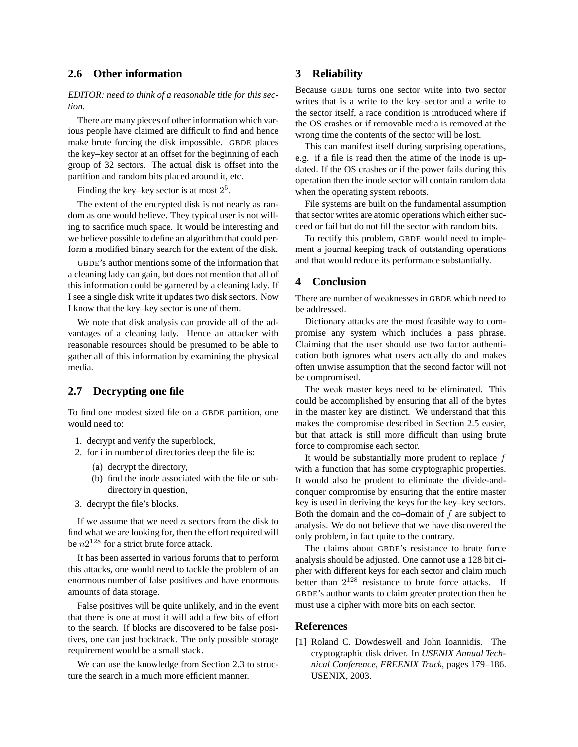## **2.6 Other information**

*EDITOR: need to think of a reasonable title for this section.*

There are many pieces of other information which various people have claimed are difficult to find and hence make brute forcing the disk impossible. GBDE places the key–key sector at an offset for the beginning of each group of 32 sectors. The actual disk is offset into the partition and random bits placed around it, etc.

Finding the key–key sector is at most  $2^5$ .

The extent of the encrypted disk is not nearly as random as one would believe. They typical user is not willing to sacrifice much space. It would be interesting and we believe possible to define an algorithm that could perform a modified binary search for the extent of the disk.

GBDE's author mentions some of the information that a cleaning lady can gain, but does not mention that all of this information could be garnered by a cleaning lady. If I see a single disk write it updates two disk sectors. Now I know that the key–key sector is one of them.

We note that disk analysis can provide all of the advantages of a cleaning lady. Hence an attacker with reasonable resources should be presumed to be able to gather all of this information by examining the physical media.

## **2.7 Decrypting one file**

To find one modest sized file on a GBDE partition, one would need to:

- 1. decrypt and verify the superblock,
- 2. for i in number of directories deep the file is:
	- (a) decrypt the directory,
	- (b) find the inode associated with the file or subdirectory in question,
- 3. decrypt the file's blocks.

If we assume that we need  $n$  sectors from the disk to find what we are looking for, then the effort required will be  $n2^{128}$  for a strict brute force attack.

It has been asserted in various forums that to perform this attacks, one would need to tackle the problem of an enormous number of false positives and have enormous amounts of data storage.

False positives will be quite unlikely, and in the event that there is one at most it will add a few bits of effort to the search. If blocks are discovered to be false positives, one can just backtrack. The only possible storage requirement would be a small stack.

We can use the knowledge from Section 2.3 to structure the search in a much more efficient manner.

## **3 Reliability**

Because GBDE turns one sector write into two sector writes that is a write to the key–sector and a write to the sector itself, a race condition is introduced where if the OS crashes or if removable media is removed at the wrong time the contents of the sector will be lost.

This can manifest itself during surprising operations, e.g. if a file is read then the atime of the inode is updated. If the OS crashes or if the power fails during this operation then the inode sector will contain random data when the operating system reboots.

File systems are built on the fundamental assumption that sector writes are atomic operations which either succeed or fail but do not fill the sector with random bits.

To rectify this problem, GBDE would need to implement a journal keeping track of outstanding operations and that would reduce its performance substantially.

## **4 Conclusion**

There are number of weaknesses in GBDE which need to be addressed.

Dictionary attacks are the most feasible way to compromise any system which includes a pass phrase. Claiming that the user should use two factor authentication both ignores what users actually do and makes often unwise assumption that the second factor will not be compromised.

The weak master keys need to be eliminated. This could be accomplished by ensuring that all of the bytes in the master key are distinct. We understand that this makes the compromise described in Section 2.5 easier, but that attack is still more difficult than using brute force to compromise each sector.

It would be substantially more prudent to replace f with a function that has some cryptographic properties. It would also be prudent to eliminate the divide-andconquer compromise by ensuring that the entire master key is used in deriving the keys for the key–key sectors. Both the domain and the co–domain of  $f$  are subject to analysis. We do not believe that we have discovered the only problem, in fact quite to the contrary.

The claims about GBDE's resistance to brute force analysis should be adjusted. One cannot use a 128 bit cipher with different keys for each sector and claim much better than  $2^{128}$  resistance to brute force attacks. If GBDE's author wants to claim greater protection then he must use a cipher with more bits on each sector.

### **References**

[1] Roland C. Dowdeswell and John Ioannidis. The cryptographic disk driver. In *USENIX Annual Technical Conference, FREENIX Track*, pages 179–186. USENIX, 2003.